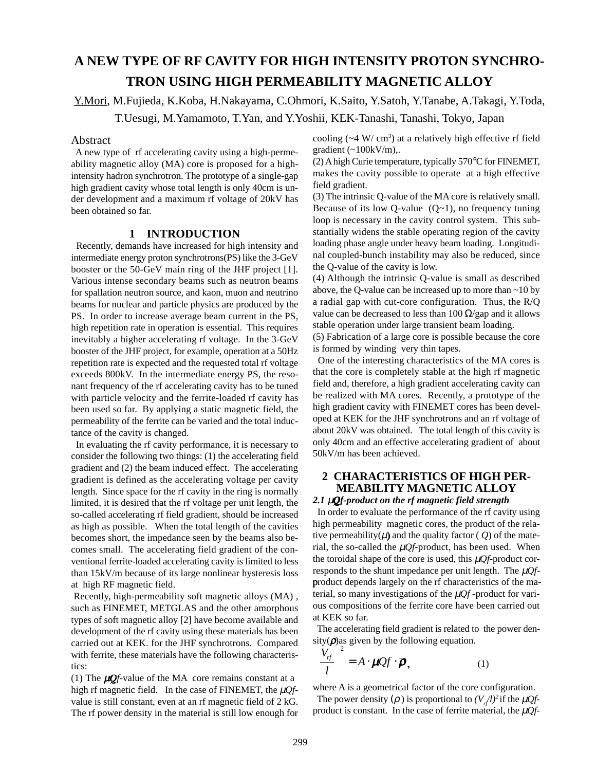# **A NEW TYPE OF RF CAVITY FOR HIGH INTENSITY PROTON SYNCHRO-TRON USING HIGH PERMEABILITY MAGNETIC ALLOY**

Y.Mori, M.Fujieda, K.Koba, H.Nakayama, C.Ohmori, K.Saito, Y.Satoh, Y.Tanabe, A.Takagi, Y.Toda,

T.Uesugi, M.Yamamoto, T.Yan, and Y.Yoshii, KEK-Tanashi, Tanashi, Tokyo, Japan

# Abstract

 A new type of rf accelerating cavity using a high-permeability magnetic alloy (MA) core is proposed for a highintensity hadron synchrotron. The prototype of a single-gap high gradient cavity whose total length is only 40cm is under development and a maximum rf voltage of 20kV has been obtained so far.

## **1 INTRODUCTION**

 Recently, demands have increased for high intensity and intermediate energy proton synchrotrons(PS) like the 3-GeV booster or the 50-GeV main ring of the JHF project [1]. Various intense secondary beams such as neutron beams for spallation neutron source, and kaon, muon and neutrino beams for nuclear and particle physics are produced by the PS. In order to increase average beam current in the PS, high repetition rate in operation is essential. This requires inevitably a higher accelerating rf voltage. In the 3-GeV booster of the JHF project, for example, operation at a 50Hz repetition rate is expected and the requested total rf voltage exceeds 800kV. In the intermediate energy PS, the resonant frequency of the rf accelerating cavity has to be tuned with particle velocity and the ferrite-loaded rf cavity has been used so far. By applying a static magnetic field, the permeability of the ferrite can be varied and the total inductance of the cavity is changed.

 In evaluating the rf cavity performance, it is necessary to consider the following two things: (1) the accelerating field gradient and (2) the beam induced effect. The accelerating gradient is defined as the accelerating voltage per cavity length. Since space for the rf cavity in the ring is normally limited, it is desired that the rf voltage per unit length, the so-called accelerating rf field gradient, should be increased as high as possible. When the total length of the cavities becomes short, the impedance seen by the beams also becomes small. The accelerating field gradient of the conventional ferrite-loaded accelerating cavity is limited to less than 15kV/m because of its large nonlinear hysteresis loss at high RF magnetic field.

 Recently, high-permeability soft magnetic alloys (MA) , such as FINEMET, METGLAS and the other amorphous types of soft magnetic alloy [2] have become available and development of the rf cavity using these materials has been carried out at KEK. for the JHF synchrotrons. Compared with ferrite, these materials have the following characteristics:

(1) The µ*Qf*-value of the MA core remains constant at a high rf magnetic field. In the case of FINEMET, the  $\mu Qf$ value is still constant, even at an rf magnetic field of 2 kG. The rf power density in the material is still low enough for

cooling  $({\sim}4 \text{ W/cm}^3)$  at a relatively high effective rf field gradient  $(\sim 100 \text{kV/m})$ ,.

(2) A high Curie temperature, typically 570°C for FINEMET, makes the cavity possible to operate at a high effective field gradient.

(3) The intrinsic Q-value of the MA core is relatively small. Because of its low Q-value  $(Q-1)$ , no frequency tuning loop is necessary in the cavity control system. This substantially widens the stable operating region of the cavity loading phase angle under heavy beam loading. Longitudinal coupled-bunch instability may also be reduced, since the Q-value of the cavity is low.

(4) Although the intrinsic Q-value is small as described above, the Q-value can be increased up to more than  $\sim$ 10 by a radial gap with cut-core configuration. Thus, the R/Q value can be decreased to less than  $100 \Omega$ /gap and it allows stable operation under large transient beam loading.

(5) Fabrication of a large core is possible because the core is formed by winding very thin tapes.

 One of the interesting characteristics of the MA cores is that the core is completely stable at the high rf magnetic field and, therefore, a high gradient accelerating cavity can be realized with MA cores. Recently, a prototype of the high gradient cavity with FINEMET cores has been developed at KEK for the JHF synchrotrons and an rf voltage of about 20kV was obtained. The total length of this cavity is only 40cm and an effective accelerating gradient of about 50kV/m has been achieved.

# **2 CHARACTERISTICS OF HIGH PER-MEABILITY MAGNETIC ALLOY**

### *2.1* µ*Qf-product on the rf magnetic field strength*

 In order to evaluate the performance of the rf cavity using high permeability magnetic cores, the product of the relative permeability( $\mu$ ) and the quality factor ( $Q$ ) of the material, the so-called the  $\mu$ *Qf*-product, has been used. When the toroidal shape of the core is used, this µ*Qf*-product corresponds to the shunt impedance per unit length. The µ*Qf*product depends largely on the rf characteristics of the material, so many investigations of the  $\mu Qf$ -product for various compositions of the ferrite core have been carried out at KEK so far.

 The accelerating field gradient is related to the power density $(\rho)$ as given by the following equation.

$$
\left(\frac{V_{rf}}{l}\right)^2 = A \cdot \mu Q f \cdot \overline{\rho}, \qquad (1)
$$

where A is a geometrical factor of the core configuration.

The power density ( $\rho$ ) is proportional to  $(V_{\mu}l)^2$  if the  $\mu Qf$ product is constant. In the case of ferrite material, the  $\mu Qf$ -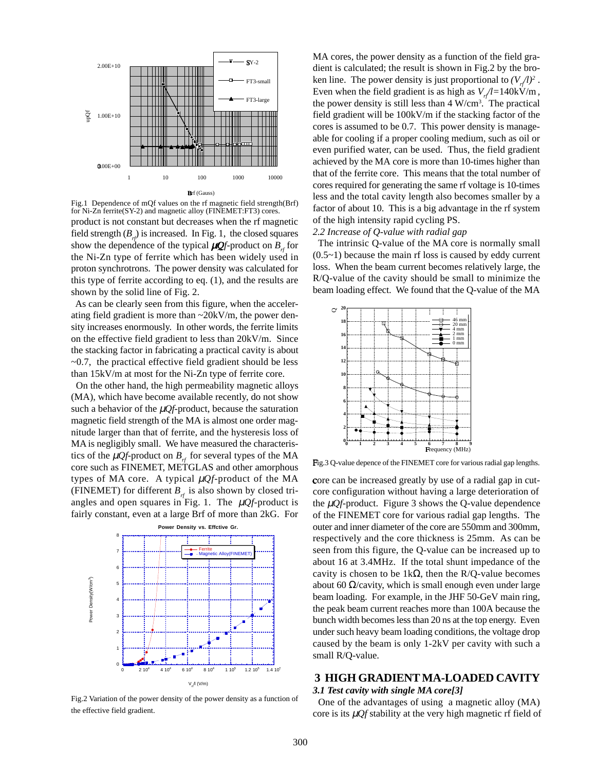

Fig.1 Dependence of mQf values on the rf magnetic field strength(Brf) for Ni-Zn ferrite(SY-2) and magnetic alloy (FINEMET:FT3) cores.

product is not constant but decreases when the rf magnetic field strength  $(B<sub>r</sub>)$  is increased. In Fig. 1, the closed squares show the dependence of the typical  $\mu Q_f$ -product on  $B_{\mu}$  for the Ni-Zn type of ferrite which has been widely used in proton synchrotrons. The power density was calculated for this type of ferrite according to eq. (1), and the results are shown by the solid line of Fig. 2.

 As can be clearly seen from this figure, when the accelerating field gradient is more than  $\sim$  20kV/m, the power density increases enormously. In other words, the ferrite limits on the effective field gradient to less than 20kV/m. Since the stacking factor in fabricating a practical cavity is about  $\sim$ 0.7, the practical effective field gradient should be less than 15kV/m at most for the Ni-Zn type of ferrite core.

 On the other hand, the high permeability magnetic alloys (MA), which have become available recently, do not show such a behavior of the  $\mu$ *Qf*-product, because the saturation magnetic field strength of the MA is almost one order magnitude larger than that of ferrite, and the hysteresis loss of MA is negligibly small. We have measured the characteristics of the  $\mu Q_f$ -product on  $B<sub>r</sub>$  for several types of the MA core such as FINEMET, METGLAS and other amorphous types of MA core. A typical  $\mu Qf$ -product of the MA (FINEMET) for different  $B<sub>rf</sub>$  is also shown by closed triangles and open squares in Fig. 1. The  $\mu Qf$ -product is fairly constant, even at a large Brf of more than 2kG. For



Fig.2 Variation of the power density of the power density as a function of the effective field gradient.

MA cores, the power density as a function of the field gradient is calculated; the result is shown in Fig.2 by the broken line. The power density is just proportional to  $(V_{\mu}/l)^2$ . Even when the field gradient is as high as  $V/d = 140 \text{kV/m}$ , the power density is still less than  $4 \text{ W/cm}^3$ . The practical field gradient will be 100kV/m if the stacking factor of the cores is assumed to be 0.7. This power density is manageable for cooling if a proper cooling medium, such as oil or even purified water, can be used. Thus, the field gradient achieved by the MA core is more than 10-times higher than that of the ferrite core. This means that the total number of cores required for generating the same rf voltage is 10-times less and the total cavity length also becomes smaller by a factor of about 10. This is a big advantage in the rf system of the high intensity rapid cycling PS.

#### *2.2 Increase of Q-value with radial gap*

 The intrinsic Q-value of the MA core is normally small  $(0.5-1)$  because the main rf loss is caused by eddy current loss. When the beam current becomes relatively large, the R/Q-value of the cavity should be small to minimize the beam loading effect. We found that the Q-value of the MA



Fig.3 Q-value depence of the FINEMET core for various radial gap lengths.

core can be increased greatly by use of a radial gap in cutcore configuration without having a large deterioration of the  $\mu Qf$ -product. Figure 3 shows the Q-value dependence of the FINEMET core for various radial gap lengths. The outer and inner diameter of the core are 550mm and 300mm, respectively and the core thickness is 25mm. As can be seen from this figure, the Q-value can be increased up to about 16 at 3.4MHz. If the total shunt impedance of the cavity is chosen to be  $1k\Omega$ , then the R/Q-value becomes about 60  $\Omega$ /cavity, which is small enough even under large beam loading. For example, in the JHF 50-GeV main ring, the peak beam current reaches more than 100A because the bunch width becomes less than 20 ns at the top energy. Even under such heavy beam loading conditions, the voltage drop caused by the beam is only 1-2kV per cavity with such a small R/Q-value.

## **3 HIGH GRADIENT MA-LOADED CAVITY** *3.1 Test cavity with single MA core[3]*

 One of the advantages of using a magnetic alloy (MA) core is its µ*Qf* stability at the very high magnetic rf field of